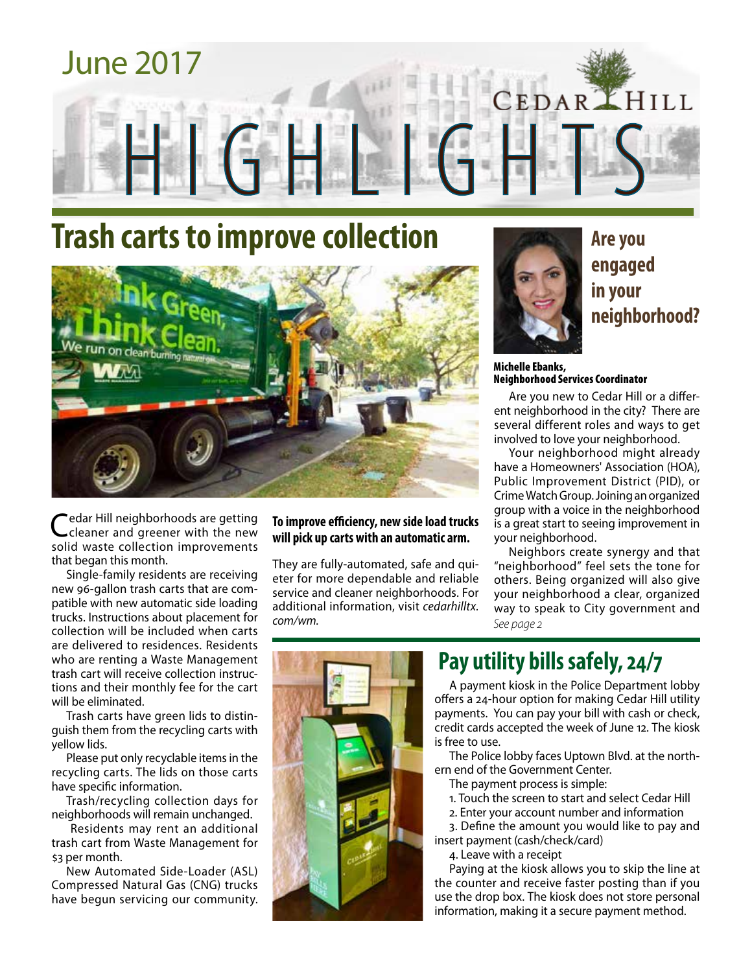

# **Trash carts to improve collection**



Cedar Hill neighborhoods are getting cleaner and greener with the new solid waste collection improvements that began this month.

Single-family residents are receiving new 96-gallon trash carts that are compatible with new automatic side loading trucks. Instructions about placement for collection will be included when carts are delivered to residences. Residents who are renting a Waste Management trash cart will receive collection instructions and their monthly fee for the cart will be eliminated.

Trash carts have green lids to distinguish them from the recycling carts with yellow lids.

Please put only recyclable items in the recycling carts. The lids on those carts have specific information.

Trash/recycling collection days for neighborhoods will remain unchanged.

 Residents may rent an additional trash cart from Waste Management for \$3 per month.

New Automated Side-Loader (ASL) Compressed Natural Gas (CNG) trucks have begun servicing our community.

#### **To improve efficiency, new side load trucks will pick up carts with an automatic arm.**

They are fully-automated, safe and quieter for more dependable and reliable service and cleaner neighborhoods. For additional information, visit *cedarhilltx. com/wm.*



**Are you engaged in your neighborhood?**

Michelle Ebanks, Neighborhood Services Coordinator

Are you new to Cedar Hill or a different neighborhood in the city? There are several different roles and ways to get involved to love your neighborhood.

Your neighborhood might already have a Homeowners' Association (HOA), Public Improvement District (PID), or Crime Watch Group. Joining an organized group with a voice in the neighborhood is a great start to seeing improvement in your neighborhood.

Neighbors create synergy and that "neighborhood" feel sets the tone for others. Being organized will also give your neighborhood a clear, organized way to speak to City government and *See page 2*



## **Pay utility bills safely, 24/7**

A payment kiosk in the Police Department lobby offers a 24-hour option for making Cedar Hill utility payments. You can pay your bill with cash or check, credit cards accepted the week of June 12. The kiosk is free to use.

The Police lobby faces Uptown Blvd. at the northern end of the Government Center.

- The payment process is simple:
- 1. Touch the screen to start and select Cedar Hill
- 2. Enter your account number and information

3. Define the amount you would like to pay and insert payment (cash/check/card)

4. Leave with a receipt

Paying at the kiosk allows you to skip the line at the counter and receive faster posting than if you use the drop box. The kiosk does not store personal information, making it a secure payment method.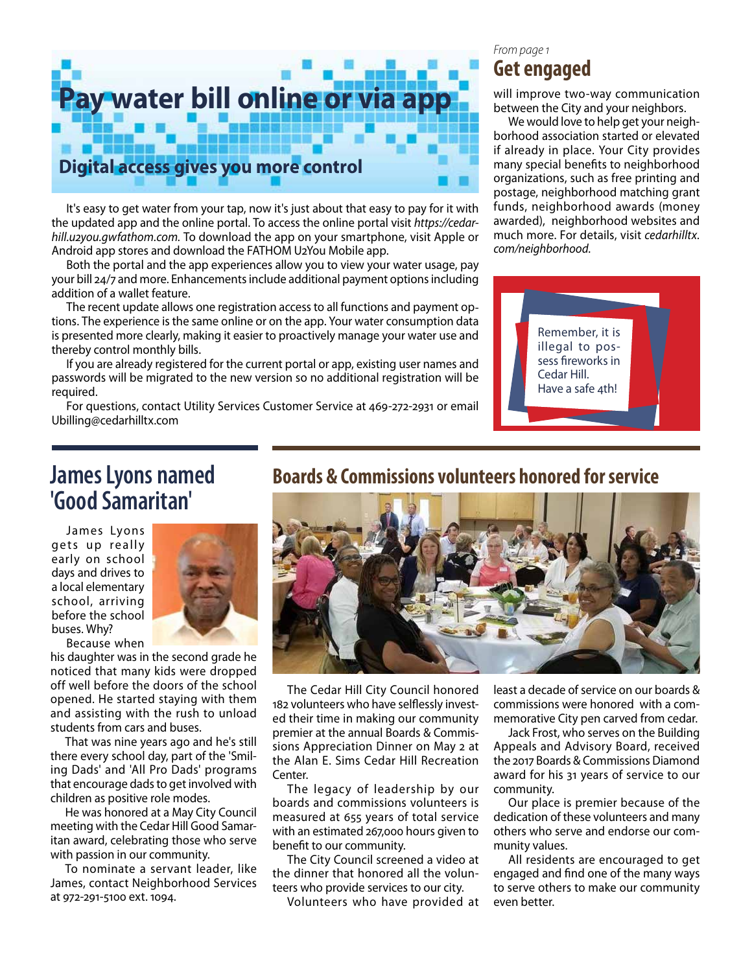

It's easy to get water from your tap, now it's just about that easy to pay for it with the updated app and the online portal. To access the online portal visit *https://cedarhill.u2you.gwfathom.com.* To download the app on your smartphone, visit Apple or Android app stores and download the FATHOM U2You Mobile app.

Both the portal and the app experiences allow you to view your water usage, pay your bill 24/7 and more. Enhancements include additional payment options including addition of a wallet feature.

The recent update allows one registration access to all functions and payment options. The experience is the same online or on the app. Your water consumption data is presented more clearly, making it easier to proactively manage your water use and thereby control monthly bills.

If you are already registered for the current portal or app, existing user names and passwords will be migrated to the new version so no additional registration will be required.

For questions, contact Utility Services Customer Service at 469-272-2931 or email Ubilling@cedarhilltx.com

#### *From page 1*

## **Get engaged**

will improve two-way communication between the City and your neighbors.

We would love to help get your neighborhood association started or elevated if already in place. Your City provides many special benefits to neighborhood organizations, such as free printing and postage, neighborhood matching grant funds, neighborhood awards (money awarded), neighborhood websites and much more. For details, visit *cedarhilltx. com/neighborhood.*



# **James Lyons named 'Good Samaritan'**

James Lyons gets up really early on school days and drives to a local elementary school, arriving before the school buses. Why?



Because when his daughter was in the second grade he noticed that many kids were dropped off well before the doors of the school opened. He started staying with them and assisting with the rush to unload students from cars and buses.

That was nine years ago and he's still there every school day, part of the 'Smiling Dads' and 'All Pro Dads' programs that encourage dads to get involved with children as positive role modes.

He was honored at a May City Council meeting with the Cedar Hill Good Samaritan award, celebrating those who serve with passion in our community.

To nominate a servant leader, like James, contact Neighborhood Services at 972-291-5100 ext. 1094.

## **Boards & Commissions volunteers honored for service**



The Cedar Hill City Council honored 182 volunteers who have selflessly invested their time in making our community premier at the annual Boards & Commissions Appreciation Dinner on May 2 at the Alan E. Sims Cedar Hill Recreation Center.

The legacy of leadership by our boards and commissions volunteers is measured at 655 years of total service with an estimated 267,000 hours given to benefit to our community.

The City Council screened a video at the dinner that honored all the volunteers who provide services to our city.

Volunteers who have provided at

least a decade of service on our boards & commissions were honored with a commemorative City pen carved from cedar.

Jack Frost, who serves on the Building Appeals and Advisory Board, received the 2017 Boards & Commissions Diamond award for his 31 years of service to our community.

Our place is premier because of the dedication of these volunteers and many others who serve and endorse our community values.

All residents are encouraged to get engaged and find one of the many ways to serve others to make our community even better.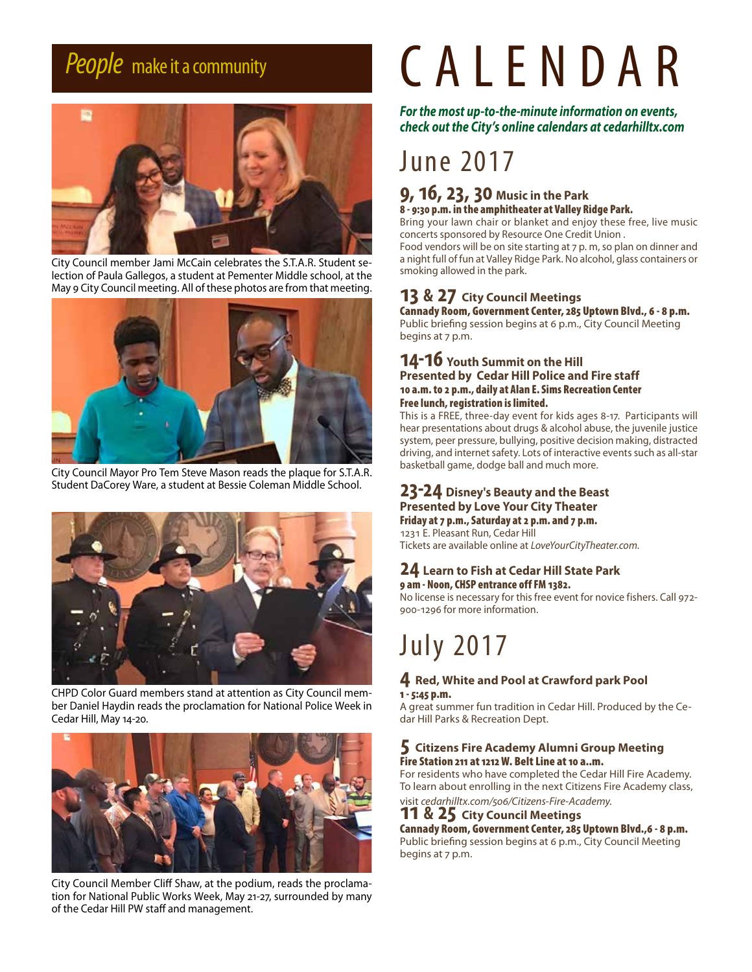

City Council member Jami McCain celebrates the S.T.A.R. Student selection of Paula Gallegos, a student at Pementer Middle school, at the May 9 City Council meeting. All of these photos are from that meeting.



City Council Mayor Pro Tem Steve Mason reads the plaque for S.T.A.R. Student DaCorey Ware, a student at Bessie Coleman Middle School.



CHPD Color Guard members stand at attention as City Council member Daniel Haydin reads the proclamation for National Police Week in Cedar Hill, May 14-20.



City Council Member Cliff Shaw, at the podium, reads the proclamation for National Public Works Week, May 21-27, surrounded by many of the Cedar Hill PW staff and management.

# *People* make it a community CALENDAR

*For the most up-to-the-minute information on events, check out the City's online calendars at cedarhilltx.com*

# June 2017

#### **9, 16, 23, 30 Music in the Park** 8 - 9:30 p.m. in the amphitheater at Valley Ridge Park.

Bring your lawn chair or blanket and enjoy these free, live music concerts sponsored by Resource One Credit Union .

Food vendors will be on site starting at 7 p. m, so plan on dinner and a night full of fun at Valley Ridge Park. No alcohol, glass containers or smoking allowed in the park.

### **13 & 27 City Council Meetings**

Cannady Room, Government Center, 285 Uptown Blvd., 6 - 8 p.m. Public briefing session begins at 6 p.m., City Council Meeting begins at 7 p.m.

#### **14-16 Youth Summit on the Hill Presented by Cedar Hill Police and Fire staff** 10 a.m. to 2 p.m., daily at Alan E. Sims Recreation Center Free lunch, registration is limited.

This is a FREE, three-day event for kids ages 8-17. Participants will hear presentations about drugs & alcohol abuse, the juvenile justice system, peer pressure, bullying, positive decision making, distracted driving, and internet safety. Lots of interactive events such as all-star basketball game, dodge ball and much more.

#### **23-24 Disney's Beauty and the Beast Presented by Love Your City Theater** Friday at 7 p.m., Saturday at 2 p.m. and 7 p.m.

1231 E. Pleasant Run, Cedar Hill Tickets are available online at *LoveYourCityTheater.com*.

#### **24 Learn to Fish at Cedar Hill State Park** 9 am - Noon, CHSP entrance off FM 1382.

No license is necessary for this free event for novice fishers. Call 972- 900-1296 for more information.

# July 2017

#### **4 Red, White and Pool at Crawford park Pool** 1 - 5:45 p.m.

A great summer fun tradition in Cedar Hill. Produced by the Cedar Hill Parks & Recreation Dept.

#### **5 Citizens Fire Academy Alumni Group Meeting** Fire Station 211 at 1212 W. Belt Line at 10 a..m.

For residents who have completed the Cedar Hill Fire Academy. To learn about enrolling in the next Citizens Fire Academy class,

visit *cedarhilltx.com/506/Citizens-Fire-Academy.*

#### **11 & 25 City Council Meetings**

Cannady Room, Government Center, 285 Uptown Blvd.,6 - 8 p.m. Public briefing session begins at 6 p.m., City Council Meeting begins at 7 p.m.